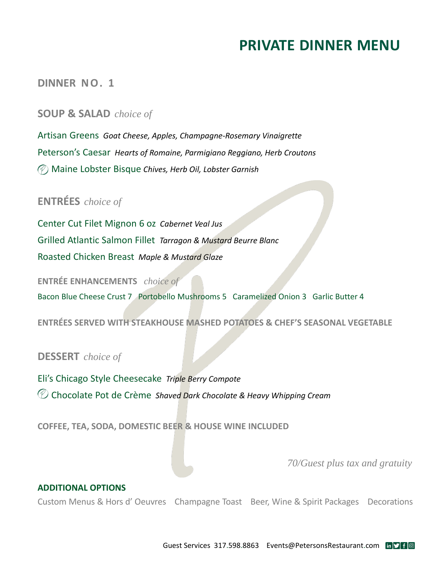## **PRIVATE DINNER MENU**

## **DINNER NO. 1**

**SOUP & SALAD** *choice of*

Artisan Greens *Goat Cheese, Apples, Champagne-Rosemary Vinaigrette* Peterson's Caesar *Hearts of Romaine, Parmigiano Reggiano, Herb Croutons* Maine Lobster Bisque *Chives, Herb Oil, Lobster Garnish*

**ENTRÉES** *choice of*

Center Cut Filet Mignon 6 oz *Cabernet Veal Jus* Grilled Atlantic Salmon Fillet *Tarragon & Mustard Beurre Blanc* Roasted Chicken Breast *Maple & Mustard Glaze* 

**ENTRÉE ENHANCEMENTS** *choice of*  Bacon Blue Cheese Crust 7 Portobello Mushrooms 5 Caramelized Onion 3 Garlic Butter 4

**ENTRÉES SERVED WITH STEAKHOUSE MASHED POTATOES & CHEF'S SEASONAL VEGETABLE**

### **DESSERT** *choice of*

Eli's Chicago Style Cheesecake *Triple Berry Compote* Chocolate Pot de Crème *Shaved Dark Chocolate & Heavy Whipping Cream*

**COFFEE, TEA, SODA, DOMESTIC BEER & HOUSE WINE INCLUDED**

*70/Guest plus tax and gratuity*

#### **ADDITIONAL OPTIONS**

Custom Menus & Hors d' Oeuvres Champagne Toast Beer, Wine & Spirit Packages Decorations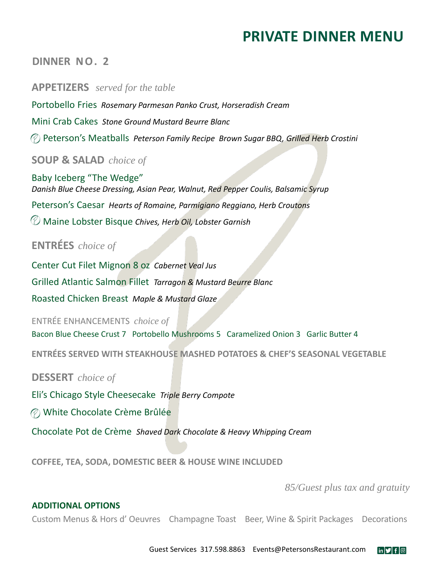# **PRIVATE DINNER MENU**

## **DINNER N O. 2**

**APPETIZERS** *served for the table* Portobello Fries *Rosemary Parmesan Panko Crust, Horseradish Cream* Mini Crab Cakes *Stone Ground Mustard Beurre Blanc* Peterson's Meatballs *Peterson Family Recipe Brown Sugar BBQ, Grilled Herb Crostini*

**SOUP & SALAD** *choice of*

Baby Iceberg "The Wedge" *Danish Blue Cheese Dressing, Asian Pear, Walnut, Red Pepper Coulis, Balsamic Syrup* Peterson's Caesar *Hearts of Romaine, Parmigiano Reggiano, Herb Croutons* Maine Lobster Bisque *Chives, Herb Oil, Lobster Garnish*

**ENTRÉES** *choice of*

Center Cut Filet Mignon 8 oz *Cabernet Veal Jus* Grilled Atlantic Salmon Fillet *Tarragon & Mustard Beurre Blanc* Roasted Chicken Breast *Maple & Mustard Glaze* 

ENTRÉE ENHANCEMENTS *choice of*  Bacon Blue Cheese Crust 7 Portobello Mushrooms 5 Caramelized Onion 3 Garlic Butter 4

**ENTRÉES SERVED WITH STEAKHOUSE MASHED POTATOES & CHEF'S SEASONAL VEGETABLE**

**DESSERT** *choice of*

Eli's Chicago Style Cheesecake *Triple Berry Compote*

White Chocolate Crème Brûlée

Chocolate Pot de Crème *Shaved Dark Chocolate & Heavy Whipping Cream*

**COFFEE, TEA, SODA, DOMESTIC BEER & HOUSE WINE INCLUDED**

*85/Guest plus tax and gratuity*

#### **ADDITIONAL OPTIONS**

Custom Menus & Hors d' Oeuvres Champagne Toast Beer, Wine & Spirit Packages Decorations